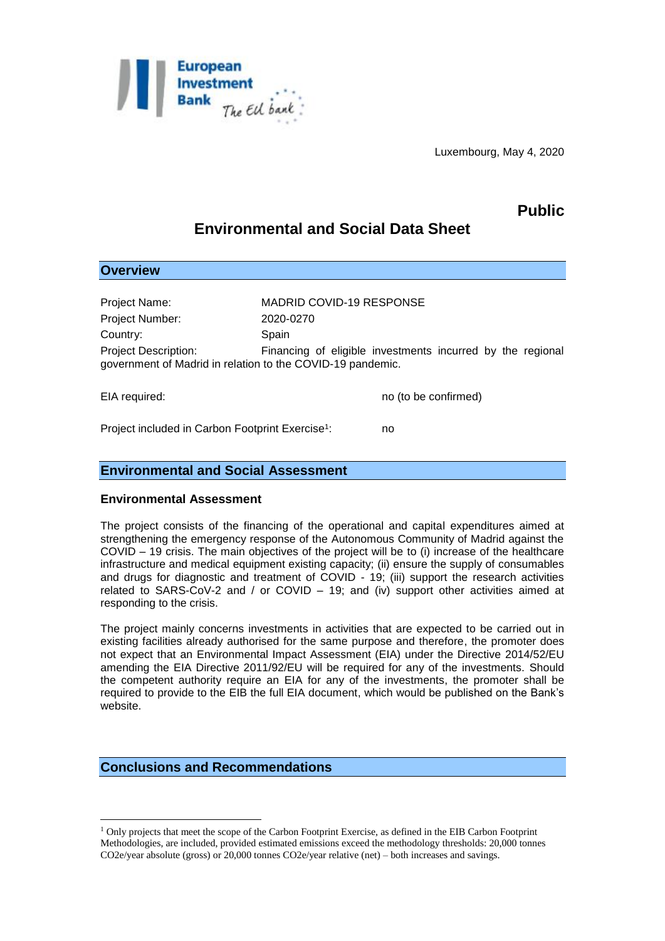

Luxembourg, May 4, 2020

# **Public**

# **Environmental and Social Data Sheet**

| <b>Overview</b>                                                                                                                                         |                                 |
|---------------------------------------------------------------------------------------------------------------------------------------------------------|---------------------------------|
| Project Name:                                                                                                                                           | <b>MADRID COVID-19 RESPONSE</b> |
| Project Number:                                                                                                                                         | 2020-0270                       |
| Country:                                                                                                                                                | Spain                           |
| <b>Project Description:</b><br>Financing of eligible investments incurred by the regional<br>government of Madrid in relation to the COVID-19 pandemic. |                                 |
| EIA required:                                                                                                                                           | no (to be confirmed)            |

: no

Project included in Carbon Footprint Exercise<sup>1</sup>:

### **Environmental and Social Assessment**

### **Environmental Assessment**

The project consists of the financing of the operational and capital expenditures aimed at strengthening the emergency response of the Autonomous Community of Madrid against the COVID – 19 crisis. The main objectives of the project will be to (i) increase of the healthcare infrastructure and medical equipment existing capacity; (ii) ensure the supply of consumables and drugs for diagnostic and treatment of COVID - 19; (iii) support the research activities related to SARS-CoV-2 and / or COVID – 19; and (iv) support other activities aimed at responding to the crisis.

The project mainly concerns investments in activities that are expected to be carried out in existing facilities already authorised for the same purpose and therefore, the promoter does not expect that an Environmental Impact Assessment (EIA) under the Directive 2014/52/EU amending the EIA Directive 2011/92/EU will be required for any of the investments. Should the competent authority require an EIA for any of the investments, the promoter shall be required to provide to the EIB the full EIA document, which would be published on the Bank's website.

## **Conclusions and Recommendations**

1

<sup>1</sup> Only projects that meet the scope of the Carbon Footprint Exercise, as defined in the EIB Carbon Footprint Methodologies, are included, provided estimated emissions exceed the methodology thresholds: 20,000 tonnes CO2e/year absolute (gross) or 20,000 tonnes CO2e/year relative (net) – both increases and savings.